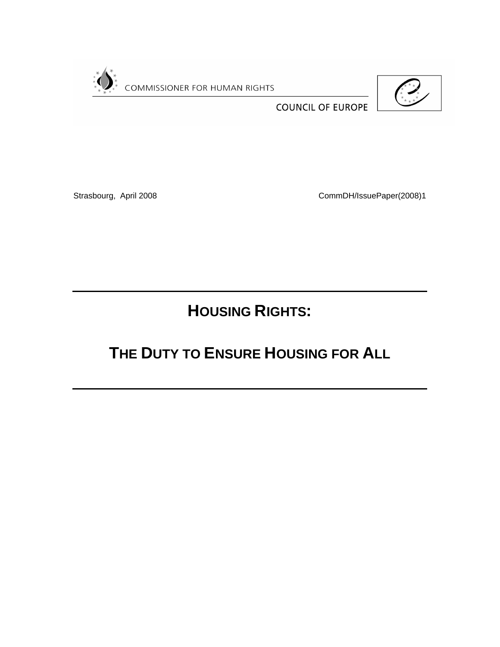

**COUNCIL OF EUROPE** 



Strasbourg, April 2008 CommDH/IssuePaper(2008)1

**HOUSING RIGHTS:**

# **THE DUTY TO ENSURE HOUSING FOR ALL**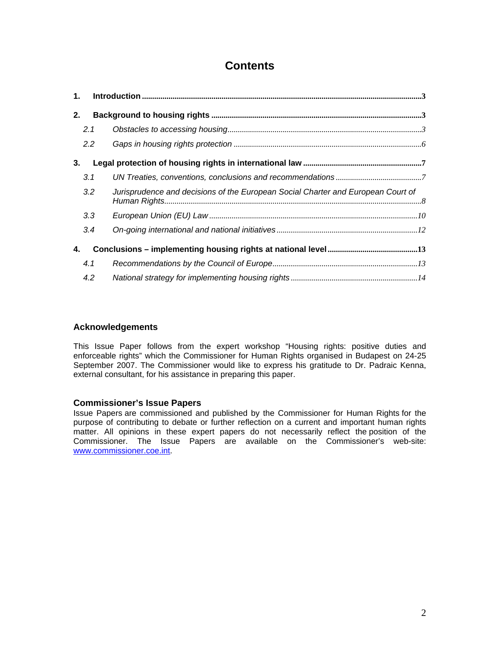# **Contents**

| 1. |               |                                                                                  |
|----|---------------|----------------------------------------------------------------------------------|
| 2. |               |                                                                                  |
|    | 2.1           |                                                                                  |
|    | $2.2^{\circ}$ |                                                                                  |
| 3. |               |                                                                                  |
|    | 3.1           |                                                                                  |
|    | 3.2           | Jurisprudence and decisions of the European Social Charter and European Court of |
|    | 3.3           |                                                                                  |
|    | 3.4           |                                                                                  |
| 4. |               |                                                                                  |
|    | 4.1           |                                                                                  |
|    | 4.2           |                                                                                  |

# **Acknowledgements**

This Issue Paper follows from the expert workshop "Housing rights: positive duties and enforceable rights" which the Commissioner for Human Rights organised in Budapest on 24-25 September 2007. The Commissioner would like to express his gratitude to Dr. Padraic Kenna, external consultant, for his assistance in preparing this paper.

# **Commissioner's Issue Papers**

Issue Papers are commissioned and published by the Commissioner for Human Rights for the purpose of contributing to debate or further reflection on a current and important human rights matter. All opinions in these expert papers do not necessarily reflect the position of the Commissioner. The Issue Papers are available on the Commissioner's web-site: [www.commissioner.coe.int](http://www.commissioner.coe.int/).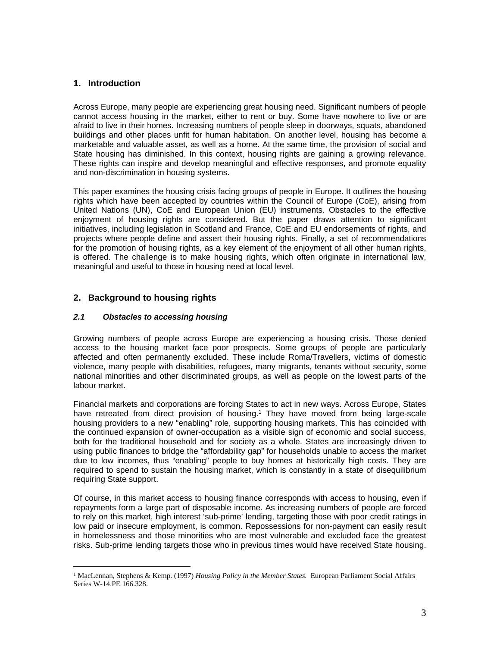## <span id="page-2-0"></span>**1. Introduction**

Across Europe, many people are experiencing great housing need. Significant numbers of people cannot access housing in the market, either to rent or buy. Some have nowhere to live or are afraid to live in their homes. Increasing numbers of people sleep in doorways, squats, abandoned buildings and other places unfit for human habitation. On another level, housing has become a marketable and valuable asset, as well as a home. At the same time, the provision of social and State housing has diminished. In this context, housing rights are gaining a growing relevance. These rights can inspire and develop meaningful and effective responses, and promote equality and non-discrimination in housing systems.

This paper examines the housing crisis facing groups of people in Europe. It outlines the housing rights which have been accepted by countries within the Council of Europe (CoE), arising from United Nations (UN), CoE and European Union (EU) instruments. Obstacles to the effective enjoyment of housing rights are considered. But the paper draws attention to significant initiatives, including legislation in Scotland and France, CoE and EU endorsements of rights, and projects where people define and assert their housing rights. Finally, a set of recommendations for the promotion of housing rights, as a key element of the enjoyment of all other human rights, is offered. The challenge is to make housing rights, which often originate in international law, meaningful and useful to those in housing need at local level.

### <span id="page-2-1"></span>**2. Background to housing rights**

#### <span id="page-2-2"></span>*2.1 Obstacles to accessing housing*

Growing numbers of people across Europe are experiencing a housing crisis. Those denied access to the housing market face poor prospects. Some groups of people are particularly affected and often permanently excluded. These include Roma/Travellers, victims of domestic violence, many people with disabilities, refugees, many migrants, tenants without security, some national minorities and other discriminated groups, as well as people on the lowest parts of the labour market.

Financial markets and corporations are forcing States to act in new ways. Across Europe, States have retreated from direct provision of housing.<sup>1</sup> They have moved from being large-scale housing providers to a new "enabling" role, supporting housing markets. This has coincided with the continued expansion of owner-occupation as a visible sign of economic and social success, both for the traditional household and for society as a whole. States are increasingly driven to using public finances to bridge the "affordability gap" for households unable to access the market due to low incomes, thus "enabling" people to buy homes at historically high costs. They are required to spend to sustain the housing market, which is constantly in a state of disequilibrium requiring State support.

Of course, in this market access to housing finance corresponds with access to housing, even if repayments form a large part of disposable income. As increasing numbers of people are forced to rely on this market, high interest 'sub-prime' lending, targeting those with poor credit ratings in low paid or insecure employment, is common. Repossessions for non-payment can easily result in homelessness and those minorities who are most vulnerable and excluded face the greatest risks. Sub-prime lending targets those who in previous times would have received State housing.

<sup>&</sup>lt;sup>1</sup> MacLennan, Stephens & Kemp. (1997) *Housing Policy in the Member States.* European Parliament Social Affairs Series W-14.PE 166.328.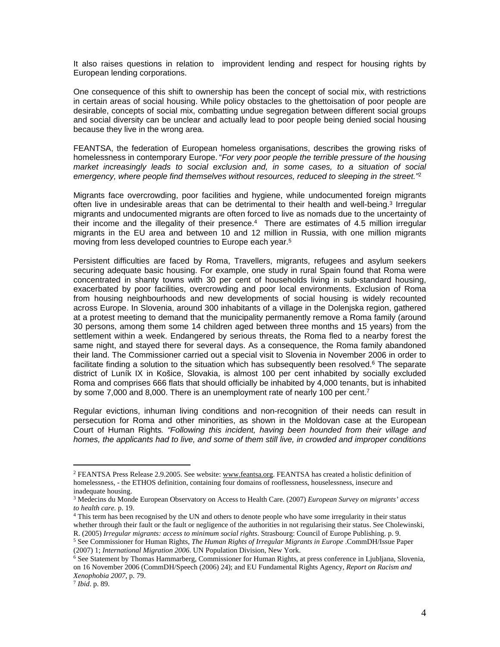It also raises questions in relation to improvident lending and respect for housing rights by European lending corporations.

One consequence of this shift to ownership has been the concept of social mix, with restrictions in certain areas of social housing. While policy obstacles to the ghettoisation of poor people are desirable, concepts of social mix, combatting undue segregation between different social groups and social diversity can be unclear and actually lead to poor people being denied social housing because they live in the wrong area.

FEANTSA, the federation of European homeless organisations, describes the growing risks of homelessness in contemporary Europe. "*For very poor people the terrible pressure of the housing*  market increasingly leads to social exclusion and, in some cases, to a situation of social *emergency, where people find themselves without resources, reduced to sleeping in the street."*<sup>2</sup>

Migrants face overcrowding, poor facilities and hygiene, while undocumented foreign migrants often live in undesirable areas that can be detrimental to their health and well-being.<sup>3</sup> Irregular migrants and undocumented migrants are often forced to live as nomads due to the uncertainty of their income and the illegality of their presence.<sup>4</sup> There are estimates of 4.5 million irregular migrants in the EU area and between 10 and 12 million in Russia, with one million migrants moving from less developed countries to Europe each year.<sup>5</sup>

Persistent difficulties are faced by Roma, Travellers, migrants, refugees and asylum seekers securing adequate basic housing. For example, one study in rural Spain found that Roma were concentrated in shanty towns with 30 per cent of households living in sub-standard housing, exacerbated by poor facilities, overcrowding and poor local environments. Exclusion of Roma from housing neighbourhoods and new developments of social housing is widely recounted across Europe. In Slovenia, around 300 inhabitants of a village in the Dolenjska region, gathered at a protest meeting to demand that the municipality permanently remove a Roma family (around 30 persons, among them some 14 children aged between three months and 15 years) from the settlement within a week. Endangered by serious threats, the Roma fled to a nearby forest the same night, and stayed there for several days. As a consequence, the Roma family abandoned their land. The Commissioner carried out a special visit to Slovenia in November 2006 in order to facilitate finding a solution to the situation which has subsequently been resolved.<sup>6</sup> The separate district of Luník IX in Košice, Slovakia, is almost 100 per cent inhabited by socially excluded Roma and comprises 666 flats that should officially be inhabited by 4,000 tenants, but is inhabited by some 7,000 and 8,000. There is an unemployment rate of nearly 100 per cent.<sup>7</sup>

Regular evictions, inhuman living conditions and non-recognition of their needs can result in persecution for Roma and other minorities, as shown in the Moldovan case at the European Court of Human Rights*. "Following this incident, having been hounded from their village and homes, the applicants had to live, and some of them still live, in crowded and improper conditions* 

<sup>&</sup>lt;sup>2</sup> FEANTSA Press Release 2.9.2005. See website: [www.feantsa.org](http://www.feantsa.org). FEANTSA has created a holistic definition of homelessness, - the ETHOS definition, containing four domains of rooflessness, houselessness, insecure and inadequate housing.

<sup>3</sup> Medecins du Monde European Observatory on Access to Health Care. (2007) *European Survey on migrants' access to health care.* p. 19.

<sup>&</sup>lt;sup>4</sup> This term has been recognised by the UN and others to denote people who have some irregularity in their status whether through their fault or the fault or negligence of the authorities in not regularising their status. See Cholewinski,

R. (2005) *Irregular migrants: access to minimum social rights*. Strasbourg: Council of Europe Publishing. p. 9. 5 See Commissioner for Human Rights, *The Human Rights of Irregular Migrants in Europe* .CommDH/Issue Paper (2007) 1; *International Migration 2006*. UN Population Division, New York.

<sup>6</sup> See Statement by Thomas Hammarberg, Commissioner for Human Rights, at press conference in Ljubljana, Slovenia, on 16 November 2006 (CommDH/Speech (2006) 24); and EU Fundamental Rights Agency, *Report on Racism and Xenophobia 2007*, p. 79.

<sup>7</sup> *Ibid*. p. 89.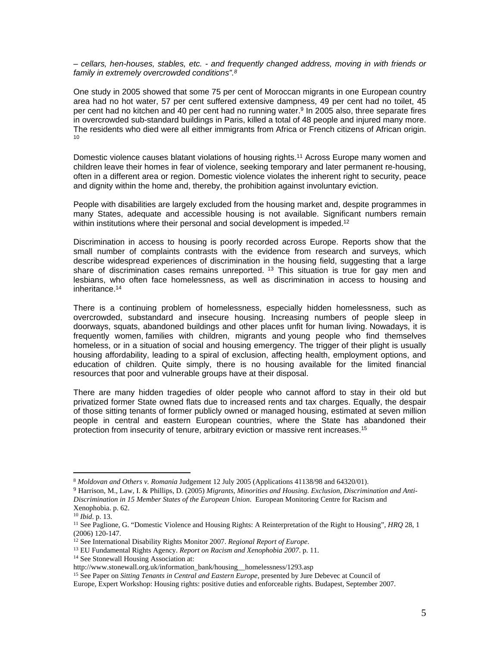*– cellars, hen-houses, stables, etc. - and frequently changed address, moving in with friends or family in extremely overcrowded conditions".<sup>8</sup>*

One study in 2005 showed that some 75 per cent of Moroccan migrants in one European country area had no hot water, 57 per cent suffered extensive dampness, 49 per cent had no toilet, 45 per cent had no kitchen and 40 per cent had no running water.<sup>9</sup> In 2005 also, three separate fires in overcrowded sub-standard buildings in Paris, killed a total of 48 people and injured many more. The residents who died were all either immigrants from Africa or French citizens of African origin. 10

Domestic violence causes blatant violations of housing rights.<sup>11</sup> Across Europe many women and children leave their homes in fear of violence, seeking temporary and later permanent re-housing, often in a different area or region. Domestic violence violates the inherent right to security, peace and dignity within the home and, thereby, the prohibition against involuntary eviction.

People with disabilities are largely excluded from the housing market and, despite programmes in many States, adequate and accessible housing is not available. Significant numbers remain within institutions where their personal and social development is impeded.<sup>12</sup>

Discrimination in access to housing is poorly recorded across Europe. Reports show that the small number of complaints contrasts with the evidence from research and surveys, which describe widespread experiences of discrimination in the housing field, suggesting that a large share of discrimination cases remains unreported.<sup>13</sup> This situation is true for gay men and lesbians, who often face homelessness, as well as discrimination in access to housing and inheritance.<sup>14</sup>

There is a continuing problem of homelessness, especially hidden homelessness, such as overcrowded, substandard and insecure housing. Increasing numbers of people sleep in doorways, squats, abandoned buildings and other places unfit for human living. Nowadays, it is frequently women, families with children, migrants and young people who find themselves homeless, or in a situation of social and housing emergency. The trigger of their plight is usually housing affordability, leading to a spiral of exclusion, affecting health, employment options, and education of children. Quite simply, there is no housing available for the limited financial resources that poor and vulnerable groups have at their disposal.

There are many hidden tragedies of older people who cannot afford to stay in their old but privatized former State owned flats due to increased rents and tax charges. Equally, the despair of those sitting tenants of former publicly owned or managed housing, estimated at seven million people in central and eastern European countries, where the State has abandoned their protection from insecurity of tenure, arbitrary eviction or massive rent increases.<sup>15</sup>

<sup>14</sup> See Stonewall Housing Association at:

<sup>8</sup> *Moldovan and Others v. Romania* Judgement 12 July 2005 (Applications 41138/98 and 64320/01).

<sup>9</sup> Harrison, M., Law, I. & Phillips, D. (2005) *Migrants, Minorities and Housing. Exclusion, Discrimination and Anti-Discrimination in 15 Member States of the European Union*. European Monitoring Centre for Racism and Xenophobia. p. 62.

<sup>10</sup> *Ibid*. p. 13.

<sup>11</sup> See Paglione, G. "Domestic Violence and Housing Rights: A Reinterpretation of the Right to Housing", *HRQ* 28, 1 (2006) 120-147.

<sup>12</sup> See International Disability Rights Monitor 2007. *Regional Report of Europe*.

<sup>13</sup> EU Fundamental Rights Agency. *Report on Racism and Xenophobia 2007*. p. 11.

http://www.stonewall.org.uk/information\_bank/housing\_\_homelessness/1293.asp

<sup>15</sup> See Paper on *Sitting Tenants in Central and Eastern Europe*, presented by Jure Debevec at Council of

Europe, Expert Workshop: Housing rights: positive duties and enforceable rights. Budapest, September 2007.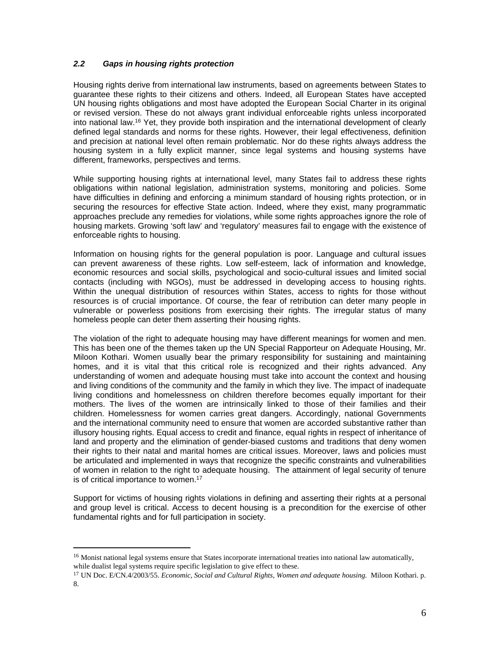#### <span id="page-5-0"></span>*2.2 Gaps in housing rights protection*

Housing rights derive from international law instruments, based on agreements between States to guarantee these rights to their citizens and others. Indeed, all European States have accepted UN housing rights obligations and most have adopted the European Social Charter in its original or revised version. These do not always grant individual enforceable rights unless incorporated into national law.<sup>16</sup> Yet, they provide both inspiration and the international development of clearly defined legal standards and norms for these rights. However, their legal effectiveness, definition and precision at national level often remain problematic. Nor do these rights always address the housing system in a fully explicit manner, since legal systems and housing systems have different, frameworks, perspectives and terms.

While supporting housing rights at international level, many States fail to address these rights obligations within national legislation, administration systems, monitoring and policies. Some have difficulties in defining and enforcing a minimum standard of housing rights protection, or in securing the resources for effective State action. Indeed, where they exist, many programmatic approaches preclude any remedies for violations, while some rights approaches ignore the role of housing markets. Growing 'soft law' and 'regulatory' measures fail to engage with the existence of enforceable rights to housing.

Information on housing rights for the general population is poor. Language and cultural issues can prevent awareness of these rights. Low self-esteem, lack of information and knowledge, economic resources and social skills, psychological and socio-cultural issues and limited social contacts (including with NGOs), must be addressed in developing access to housing rights. Within the unequal distribution of resources within States, access to rights for those without resources is of crucial importance. Of course, the fear of retribution can deter many people in vulnerable or powerless positions from exercising their rights. The irregular status of many homeless people can deter them asserting their housing rights.

The violation of the right to adequate housing may have different meanings for women and men. This has been one of the themes taken up the UN Special Rapporteur on Adequate Housing, Mr. Miloon Kothari. Women usually bear the primary responsibility for sustaining and maintaining homes, and it is vital that this critical role is recognized and their rights advanced. Any understanding of women and adequate housing must take into account the context and housing and living conditions of the community and the family in which they live. The impact of inadequate living conditions and homelessness on children therefore becomes equally important for their mothers. The lives of the women are intrinsically linked to those of their families and their children. Homelessness for women carries great dangers. Accordingly, national Governments and the international community need to ensure that women are accorded substantive rather than illusory housing rights. Equal access to credit and finance, equal rights in respect of inheritance of land and property and the elimination of gender-biased customs and traditions that deny women their rights to their natal and marital homes are critical issues. Moreover, laws and policies must be articulated and implemented in ways that recognize the specific constraints and vulnerabilities of women in relation to the right to adequate housing. The attainment of legal security of tenure is of critical importance to women.<sup>17</sup>

Support for victims of housing rights violations in defining and asserting their rights at a personal and group level is critical. Access to decent housing is a precondition for the exercise of other fundamental rights and for full participation in society.

<sup>&</sup>lt;sup>16</sup> Monist national legal systems ensure that States incorporate international treaties into national law automatically, while dualist legal systems require specific legislation to give effect to these.

<sup>17</sup> UN Doc. E/CN.4/2003/55. *Economic, Social and Cultural Rights, Women and adequate housing.* Miloon Kothari. p. 8.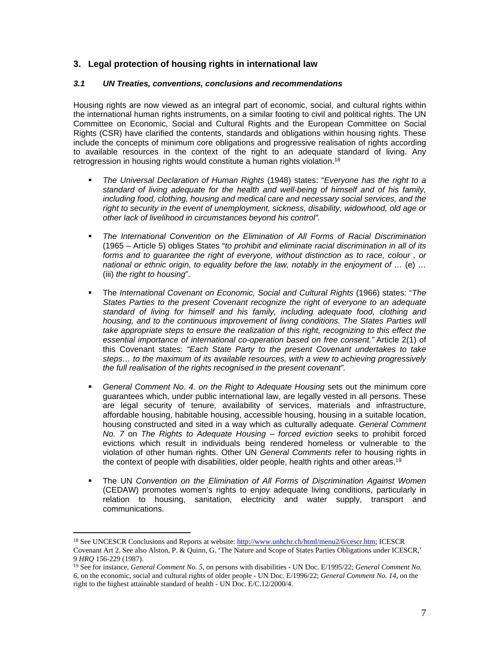# <span id="page-6-0"></span>**3. Legal protection of housing rights in international law**

#### <span id="page-6-1"></span>*3.1 UN Treaties, conventions, conclusions and recommendations*

Housing rights are now viewed as an integral part of economic, social, and cultural rights within the international human rights instruments, on a similar footing to civil and political rights. The UN Committee on Economic, Social and Cultural Rights and the European Committee on Social Rights (CSR) have clarified the contents, standards and obligations within housing rights. These include the concepts of minimum core obligations and progressive realisation of rights according to available resources in the context of the right to an adequate standard of living. Any retrogression in housing rights would constitute a human rights violation.<sup>18</sup>

- *The Universal Declaration of Human Rights* (1948) states: "*Everyone has the right to a standard of living adequate for the health and well-being of himself and of his family, including food, clothing, housing and medical care and necessary social services, and the right to security in the event of unemployment, sickness, disability, widowhood, old age or other lack of livelihood in circumstances beyond his control".*
- *The International Convention on the Elimination of All Forms of Racial Discrimination* (1965 – Article 5) obliges States "*to prohibit and eliminate racial discrimination in all of its forms and to guarantee the right of everyone, without distinction as to race, colour , or national or ethnic origin, to equality before the law, notably in the enjoyment of …* (e) … (iii) *the right to housing*".
- The *International Covenant on Economic, Social and Cultural Rights* (1966) states: "*The States Parties to the present Covenant recognize the right of everyone to an adequate standard of living for himself and his family, including adequate food, clothing and housing, and to the continuous improvement of living conditions. The States Parties will take appropriate steps to ensure the realization of this right, recognizing to this effect the essential importance of international co-operation based on free consent."* Article 2(1) of this Covenant states: *"Each State Party to the present Covenant undertakes to take steps… to the maximum of its available resources, with a view to achieving progressively the full realisation of the rights recognised in the present covenant".*
- *General Comment No. 4. on the Right to Adequate Housing* sets out the minimum core guarantees which, under public international law, are legally vested in all persons. These are legal security of tenure, availability of services, materials and infrastructure, affordable housing, habitable housing, accessible housing, housing in a suitable location, housing constructed and sited in a way which as culturally adequate. *General Comment No. 7* on *The Rights to Adequate Housing – forced eviction* seeks to prohibit forced evictions which result in individuals being rendered homeless or vulnerable to the violation of other human rights. Other UN *General Comments* refer to housing rights in the context of people with disabilities, older people, health rights and other areas.<sup>19</sup>
- The UN *Convention on the Elimination of All Forms of Discrimination Against Women* (CEDAW) promotes women's rights to enjoy adequate living conditions, particularly in relation to housing, sanitation, electricity and water supply, transport and communications.

<sup>18</sup> See UNCESCR Conclusions and Reports at website: [http://www.unhchr.ch/html/menu2/6/cescr.htm;](http://www.unhchr.ch/html/menu2/6/cescr.htm) ICESCR Covenant Art 2. See also Alston, P. & Quinn, G. 'The Nature and Scope of States Parties Obligations under ICESCR,' 9 *HRQ* 156-229 (1987).

<sup>19</sup> See for instance, *General Comment No. 5*, on persons with disabilities - UN Doc. E/1995/22; *General Comment No. 6*, on the economic, social and cultural rights of older people - UN Doc. E/1996/22; *General Comment No. 14,* on the right to the highest attainable standard of health - UN Doc. E/C.12/2000/4.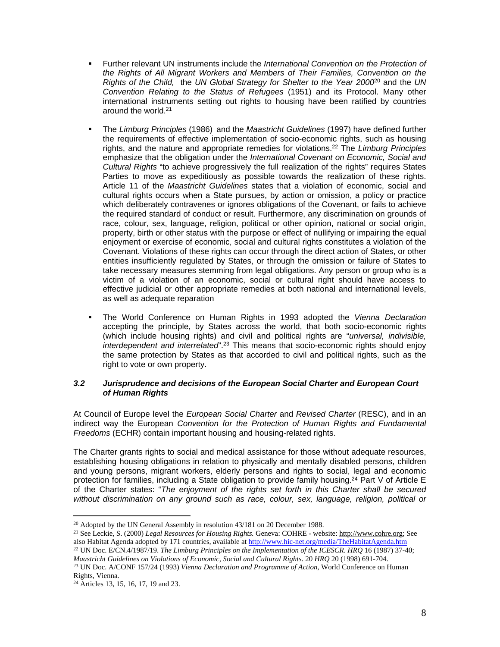- Further relevant UN instruments include the *International Convention on the Protection of the Rights of All Migrant Workers and Members of Their Families, Convention on the Rights of the Child,* the *UN Global Strategy for Shelter to the Year 2000*<sup>20</sup> and the *UN Convention Relating to the Status of Refugees* (1951) and its Protocol. Many other international instruments setting out rights to housing have been ratified by countries around the world.<sup>21</sup>
- The *Limburg Principles* (1986) and the *Maastricht Guidelines* (1997) have defined further the requirements of effective implementation of socio-economic rights, such as housing rights, and the nature and appropriate remedies for violations.<sup>22</sup> The *Limburg Principles* emphasize that the obligation under the *International Covenant on Economic, Social and Cultural Rights* "to achieve progressively the full realization of the rights" requires States Parties to move as expeditiously as possible towards the realization of these rights. Article 11 of the *Maastricht Guidelines* states that a violation of economic, social and cultural rights occurs when a State pursues, by action or omission, a policy or practice which deliberately contravenes or ignores obligations of the Covenant, or fails to achieve the required standard of conduct or result. Furthermore, any discrimination on grounds of race, colour, sex, language, religion, political or other opinion, national or social origin, property, birth or other status with the purpose or effect of nullifying or impairing the equal enjoyment or exercise of economic, social and cultural rights constitutes a violation of the Covenant. Violations of these rights can occur through the direct action of States, or other entities insufficiently regulated by States, or through the omission or failure of States to take necessary measures stemming from legal obligations. Any person or group who is a victim of a violation of an economic, social or cultural right should have access to effective judicial or other appropriate remedies at both national and international levels, as well as adequate reparation
- The World Conference on Human Rights in 1993 adopted the *Vienna Declaration* accepting the principle, by States across the world, that both socio-economic rights (which include housing rights) and civil and political rights are "*universal, indivisible, interdependent and interrelated*".<sup>23</sup> This means that socio-economic rights should enjoy the same protection by States as that accorded to civil and political rights, such as the right to vote or own property.

#### <span id="page-7-0"></span>*3.2 Jurisprudence and decisions of the European Social Charter and European Court of Human Rights*

At Council of Europe level the *European Social Charter* and *Revised Charter* (RESC), and in an indirect way the European *Convention for the Protection of Human Rights and Fundamental Freedoms* (ECHR) contain important housing and housing-related rights.

The Charter grants rights to social and medical assistance for those without adequate resources, establishing housing obligations in relation to physically and mentally disabled persons, children and young persons, migrant workers, elderly persons and rights to social, legal and economic protection for families, including a State obligation to provide family housing.<sup>24</sup> Part V of Article E of the Charter states: "*The enjoyment of the rights set forth in this Charter shall be secured without discrimination on any ground such as race, colour, sex, language, religion, political or* 

<sup>&</sup>lt;sup>20</sup> Adopted by the UN General Assembly in resolution 43/181 on 20 December 1988.

<sup>21</sup> See Leckie, S. (2000) *Legal Resources for Housing Rights.* Geneva: COHRE - website: <http://www.cohre.org>; See also Habitat Agenda adopted by 171 countries, available at<http://www.hic-net.org/media/TheHabitatAgenda.htm>

<sup>22</sup> UN Doc. E/CN.4/1987/19. *The Limburg Principles on the Implementation of the ICESCR*. *HRQ* 16 (1987) 37-40; *Maastricht Guidelines on Violations of Economic, Social and Cultural Rights*. 20 *HRQ* 20 (1998) 691-704.

<sup>23</sup> UN Doc. A/CONF 157/24 (1993) *Vienna Declaration and Programme of Action*, World Conference on Human Rights, Vienna.

<sup>24</sup> Articles 13, 15, 16, 17, 19 and 23.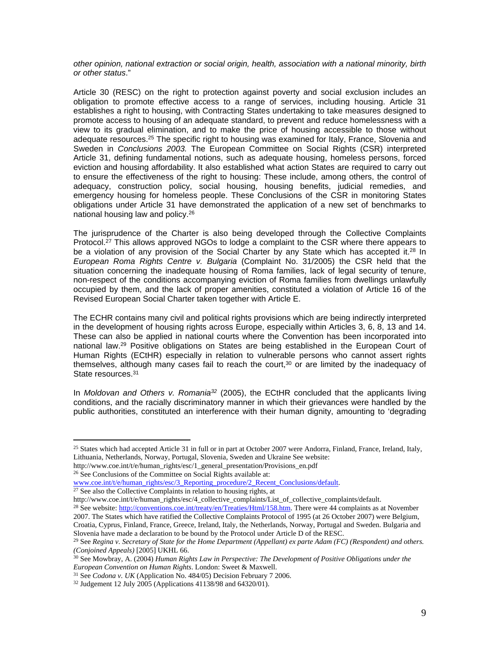*other opinion, national extraction or social origin, health, association with a national minority, birth or other status*."

Article 30 (RESC) on the right to protection against poverty and social exclusion includes an obligation to promote effective access to a range of services, including housing. Article 31 establishes a right to housing, with Contracting States undertaking to take measures designed to promote access to housing of an adequate standard, to prevent and reduce homelessness with a view to its gradual elimination, and to make the price of housing accessible to those without adequate resources.<sup>25</sup> The specific right to housing was examined for Italy, France, Slovenia and Sweden in *Conclusions 2003.* The European Committee on Social Rights (CSR) interpreted Article 31, defining fundamental notions, such as adequate housing, homeless persons, forced eviction and housing affordability. It also established what action States are required to carry out to ensure the effectiveness of the right to housing: These include, among others, the control of adequacy, construction policy, social housing, housing benefits, judicial remedies, and emergency housing for homeless people. These Conclusions of the CSR in monitoring States obligations under Article 31 have demonstrated the application of a new set of benchmarks to national housing law and policy.<sup>26</sup>

The jurisprudence of the Charter is also being developed through the Collective Complaints Protocol.<sup>27</sup> This allows approved NGOs to lodge a complaint to the CSR where there appears to be a violation of any provision of the Social Charter by any State which has accepted it.<sup>28</sup> In *European Roma Rights Centre v. Bulgaria* (Complaint No. 31/2005) the CSR held that the situation concerning the inadequate housing of Roma families, lack of legal security of tenure, non-respect of the conditions accompanying eviction of Roma families from dwellings unlawfully occupied by them, and the lack of proper amenities, constituted a violation of Article 16 of the Revised European Social Charter taken together with Article E.

The ECHR contains many civil and political rights provisions which are being indirectly interpreted in the development of housing rights across Europe, especially within Articles 3, 6, 8, 13 and 14. These can also be applied in national courts where the Convention has been incorporated into national law.<sup>29</sup> Positive obligations on States are being established in the European Court of Human Rights (ECtHR) especially in relation to vulnerable persons who cannot assert rights themselves, although many cases fail to reach the court, $30$  or are limited by the inadequacy of State resources.<sup>31</sup>

In *Moldovan and Others v. Romania<sup>32</sup>* (2005), the ECtHR concluded that the applicants living conditions, and the racially discriminatory manner in which their grievances were handled by the public authorities, constituted an interference with their human dignity, amounting to 'degrading

http://www.coe.int/t/e/human\_rights/esc/1\_general\_presentation/Provisions\_en.pdf <sup>26</sup> See Conclusions of the Committee on Social Rights available at:

[www.coe.int/t/e/human\\_rights/esc/3\\_Reporting\\_procedure/2\\_Recent\\_Conclusions/default](http://www.coe.int/t/e/human_rights/esc/3_Reporting_procedure/2_Recent_Conclusions/default).

 $27$  See also the Collective Complaints in relation to housing rights, at

http://www.coe.int/t/e/human\_rights/esc/4\_collective\_complaints/List\_of\_collective\_complaints/default.

<sup>28</sup> See website: [http://conventions.coe.int/treaty/en/Treaties/Html/158.htm.](http://conventions.coe.int/treaty/en/Treaties/Html/158.htm) There were 44 complaints as at November 2007. The States which have ratified the Collective Complaints Protocol of 1995 (at 26 October 2007) were Belgium, Croatia, Cyprus, Finland, France, Greece, Ireland, Italy, the Netherlands, Norway, Portugal and Sweden. Bulgaria and

Slovenia have made a declaration to be bound by the Protocol under Article D of the RESC. <sup>29</sup> See *Regina v. Secretary of State for the Home Department (Appellant) ex parte Adam (FC) (Respondent) and others. (Conjoined Appeals)* [2005] UKHL 66.

<sup>&</sup>lt;sup>25</sup> States which had accepted Article 31 in full or in part at October 2007 were Andorra, Finland, France, Ireland, Italy, Lithuania, Netherlands, Norway, Portugal, Slovenia, Sweden and Ukraine See website:

<sup>30</sup> See Mowbray, A. (2004) *Human Rights Law in Perspective: The Development of Positive Obligations under the European Convention on Human Rights*. London: Sweet & Maxwell.

<sup>31</sup> See *Codona v. UK* (Application No. 484/05) Decision February 7 2006.

<sup>32</sup> Judgement 12 July 2005 (Applications 41138/98 and 64320/01).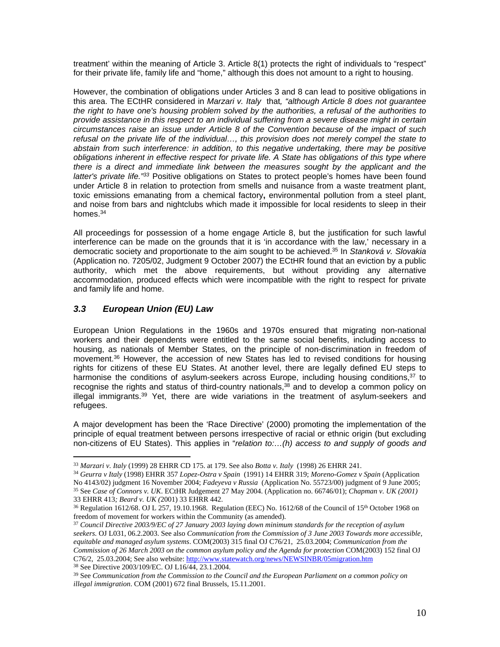treatment' within the meaning of Article 3. Article 8(1) protects the right of individuals to "respect" for their private life, family life and "home," although this does not amount to a right to housing.

However, the combination of obligations under Articles 3 and 8 can lead to positive obligations in this area. The ECtHR considered in *Marzari v. Italy* that*, "although Article 8 does not guarantee the right to have one's housing problem solved by the authorities, a refusal of the authorities to provide assistance in this respect to an individual suffering from a severe disease might in certain circumstances raise an issue under Article 8 of the Convention because of the impact of such refusal on the private life of the individual…, this provision does not merely compel the state to abstain from such interference: in addition, to this negative undertaking, there may be positive obligations inherent in effective respect for private life. A State has obligations of this type where there is a direct and immediate link between the measures sought by the applicant and the latter's private life."<sup>33</sup>* Positive obligations on States to protect people's homes have been found under Article 8 in relation to protection from smells and nuisance from a waste treatment plant, toxic emissions emanating from a chemical factory**,** environmental pollution from a steel plant, and noise from bars and nightclubs which made it impossible for local residents to sleep in their homes.<sup>34</sup>

All proceedings for possession of a home engage Article 8, but the justification for such lawful interference can be made on the grounds that it is 'in accordance with the law,' necessary in a democratic society and proportionate to the aim sought to be achieved.<sup>35</sup> In *Stanková v. Slovakia* (Application no. 7205/02, Judgment 9 October 2007) the ECtHR found that an eviction by a public authority, which met the above requirements, but without providing any alternative accommodation, produced effects which were incompatible with the right to respect for private and family life and home.

# <span id="page-9-0"></span>*3.3 European Union (EU) Law*

European Union Regulations in the 1960s and 1970s ensured that migrating non-national workers and their dependents were entitled to the same social benefits, including access to housing, as nationals of Member States, on the principle of non-discrimination in freedom of movement.<sup>36</sup> However, the accession of new States has led to revised conditions for housing rights for citizens of these EU States. At another level, there are legally defined EU steps to harmonise the conditions of asylum-seekers across Europe, including housing conditions,<sup>37</sup> to recognise the rights and status of third-country nationals,<sup>38</sup> and to develop a common policy on illegal immigrants.<sup>39</sup> Yet, there are wide variations in the treatment of asylum-seekers and refugees.

A major development has been the 'Race Directive' (2000) promoting the implementation of the principle of equal treatment between persons irrespective of racial or ethnic origin (but excluding non-citizens of EU States). This applies in "*relation to:…(h) access to and supply of goods and* 

<sup>38</sup> See Directive 2003/109/EC. OJ L16/44, 23.1.2004.

<sup>33</sup> *Marzari v. Italy* (1999) 28 EHRR CD 175. at 179. See also *Botta v. Italy* (1998) 26 EHRR 241.

<sup>34</sup> *Geurra v Italy* (1998) EHRR 357 *Lopez-Ostra v Spain* (1991) 14 EHRR 319; *Moreno-Gomez v Spain* (Application No 4143/02) judgment 16 November 2004; *Fadeyeva v Russia* (Application No. 55723/00) judgment of 9 June 2005; <sup>35</sup> See *Case of Connors v. UK*. ECtHR Judgement 27 May 2004. (Application no. 66746/01); *Chapman v. UK (2001)*  33 EHRR 413*; Beard v. UK (*2001) 33 EHRR 442.

<sup>&</sup>lt;sup>36</sup> Regulation 1612/68. OJ L 257, 19.10.1968. Regulation (EEC) No. 1612/68 of the Council of 15<sup>th</sup> October 1968 on freedom of movement for workers within the Community (as amended).

<sup>37</sup> *Council Directive 2003/9/EC of 27 January 2003 laying down minimum standards for the reception of asylum seekers.* OJ L031, 06.2.2003. See also *Communication from the Commission of 3 June 2003 Towards more accessible, equitable and managed asylum systems*. COM(2003) 315 final OJ C76/21, 25.03.2004; *Communication from the Commission of 26 March 2003 on the common asylum policy and the Agenda for protection* COM(2003) 152 final OJ C76/2, 25.03.2004; See also website:<http://www.statewatch.org/news/NEWSINBR/05migration.htm>

<sup>39</sup> See *Communication from the Commission to the Council and the European Parliament on a common policy on illegal immigration*. COM (2001) 672 final Brussels, 15.11.2001.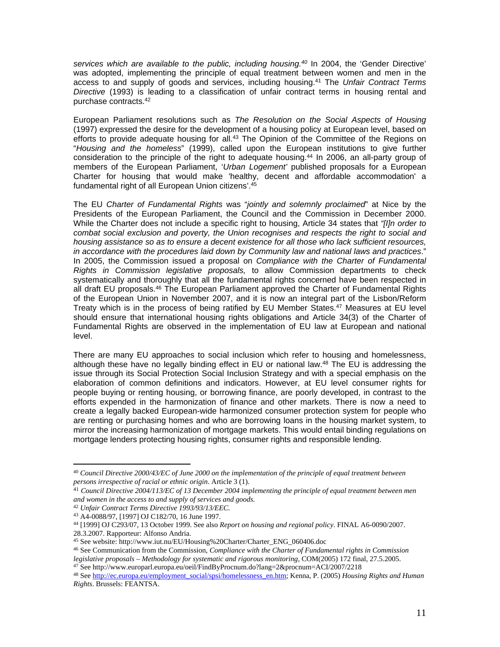*services which are available to the public, including housing.<sup>40</sup>* In 2004, the 'Gender Directive' was adopted, implementing the principle of equal treatment between women and men in the access to and supply of goods and services, including housing.<sup>41</sup> The *Unfair Contract Terms Directive* (1993) is leading to a classification of unfair contract terms in housing rental and purchase contracts.<sup>42</sup>

European Parliament resolutions such as *The Resolution on the Social Aspects of Housing*  (1997) expressed the desire for the development of a housing policy at European level, based on efforts to provide adequate housing for all.<sup>43</sup> The Opinion of the Committee of the Regions on "*Housing and the homeless*" (1999), called upon the European institutions to give further consideration to the principle of the right to adequate housing.<sup>44</sup> In 2006, an all-party group of members of the European Parliament, '*Urban Logement'* published proposals for a European Charter for housing that would make 'healthy, decent and affordable accommodation' a fundamental right of all European Union citizens'.<sup>45</sup>

The EU *Charter of Fundamental Rights* was "*jointly and solemnly proclaimed*" at Nice by the Presidents of the European Parliament, the Council and the Commission in December 2000. While the Charter does not include a specific right to housing, Article 34 states that *"[I]n order to combat social exclusion and poverty, the Union recognises and respects the right to social and housing assistance so as to ensure a decent existence for all those who lack sufficient resources, in accordance with the procedures laid down by Community law and national laws and practices*." In 2005, the Commission issued a proposal on *Compliance with the Charter of Fundamental Rights in Commission legislative proposals,* to allow Commission departments to check systematically and thoroughly that all the fundamental rights concerned have been respected in all draft EU proposals.<sup>46</sup> The European Parliament approved the Charter of Fundamental Rights of the European Union in November 2007, and it is now an integral part of the Lisbon/Reform Treaty which is in the process of being ratified by EU Member States.<sup>47</sup> Measures at EU level should ensure that international housing rights obligations and Article 34(3) of the Charter of Fundamental Rights are observed in the implementation of EU law at European and national level.

There are many EU approaches to social inclusion which refer to housing and homelessness, although these have no legally binding effect in EU or national law.<sup>48</sup> The EU is addressing the issue through its Social Protection Social Inclusion Strategy and with a special emphasis on the elaboration of common definitions and indicators. However, at EU level consumer rights for people buying or renting housing, or borrowing finance, are poorly developed, in contrast to the efforts expended in the harmonization of finance and other markets. There is now a need to create a legally backed European-wide harmonized consumer protection system for people who are renting or purchasing homes and who are borrowing loans in the housing market system, to mirror the increasing harmonization of mortgage markets. This would entail binding regulations on mortgage lenders protecting housing rights, consumer rights and responsible lending.

<sup>40</sup> *Council Directive 2000/43/EC of June 2000 on the implementation of the principle of equal treatment between persons irrespective of racial or ethnic origin*. Article 3 (1).

<sup>41</sup> *Council Directive 2004/113/EC of 13 December 2004 implementing the principle of equal treatment between men and women in the access to and supply of services and goods.*

<sup>42</sup> *Unfair Contract Terms Directive 1993/93/13/EEC.* 

<sup>43</sup> A4-0088/97, [1997] OJ C182/70, 16 June 1997.

<sup>44</sup> [1999] OJ C293/07, 13 October 1999. See also *Report on housing and regional policy*. FINAL A6-0090/2007. 28.3.2007. Rapporteur: Alfonso Andria.

<sup>45</sup> See website: http://www.iut.nu/EU/Housing%20Charter/Charter\_ENG\_060406.doc

<sup>46</sup> See Communication from the Commission, *Compliance with the Charter of Fundamental rights in Commission legislative proposals – Methodology for systematic and rigorous monitoring,* COM(2005) 172 final, 27.5.2005.

<sup>47</sup> See http://www.europarl.europa.eu/oeil/FindByProcnum.do?lang=2&procnum=ACI/2007/2218

<sup>48</sup> See [http://ec.europa.eu/employment\\_social/spsi/homelessness\\_en.htm;](http://ec.europa.eu/employment_social/spsi/homelessness_en.htm) Kenna, P. (2005) *Housing Rights and Human Rights*. Brussels: FEANTSA.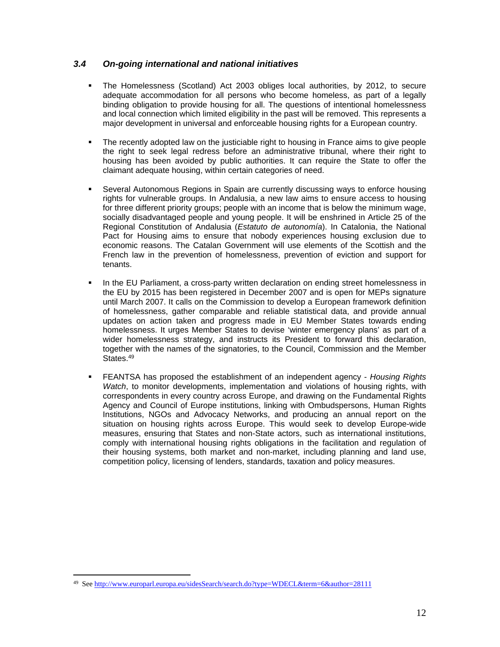### <span id="page-11-0"></span>*3.4 On-going international and national initiatives*

- The Homelessness (Scotland) Act 2003 obliges local authorities, by 2012, to secure adequate accommodation for all persons who become homeless, as part of a legally binding obligation to provide housing for all. The questions of intentional homelessness and local connection which limited eligibility in the past will be removed. This represents a major development in universal and enforceable housing rights for a European country.
- The recently adopted law on the justiciable right to housing in France aims to give people the right to seek legal redress before an administrative tribunal, where their right to housing has been avoided by public authorities. It can require the State to offer the claimant adequate housing, within certain categories of need.
- Several Autonomous Regions in Spain are currently discussing ways to enforce housing rights for vulnerable groups. In Andalusia, a new law aims to ensure access to housing for three different priority groups; people with an income that is below the minimum wage, socially disadvantaged people and young people. It will be enshrined in Article 25 of the Regional Constitution of Andalusia (*Estatuto de autonomía*). In Catalonia, the National Pact for Housing aims to ensure that nobody experiences housing exclusion due to economic reasons. The Catalan Government will use elements of the Scottish and the French law in the prevention of homelessness, prevention of eviction and support for tenants.
- In the EU Parliament, a cross-party written declaration on ending street homelessness in the EU by 2015 has been registered in December 2007 and is open for MEPs signature until March 2007. It calls on the Commission to develop a European framework definition of homelessness, gather comparable and reliable statistical data, and provide annual updates on action taken and progress made in EU Member States towards ending homelessness. It urges Member States to devise 'winter emergency plans' as part of a wider homelessness strategy, and instructs its President to forward this declaration, together with the names of the signatories, to the Council, Commission and the Member States.<sup>49</sup>
- FEANTSA has proposed the establishment of an independent agency *Housing Rights Watch*, to monitor developments, implementation and violations of housing rights, with correspondents in every country across Europe, and drawing on the Fundamental Rights Agency and Council of Europe institutions, linking with Ombudspersons, Human Rights Institutions, NGOs and Advocacy Networks, and producing an annual report on the situation on housing rights across Europe. This would seek to develop Europe-wide measures, ensuring that States and non-State actors, such as international institutions, comply with international housing rights obligations in the facilitation and regulation of their housing systems, both market and non-market, including planning and land use, competition policy, licensing of lenders, standards, taxation and policy measures.

<sup>49</sup> See <http://www.europarl.europa.eu/sidesSearch/search.do?type=WDECL&term=6&author=28111>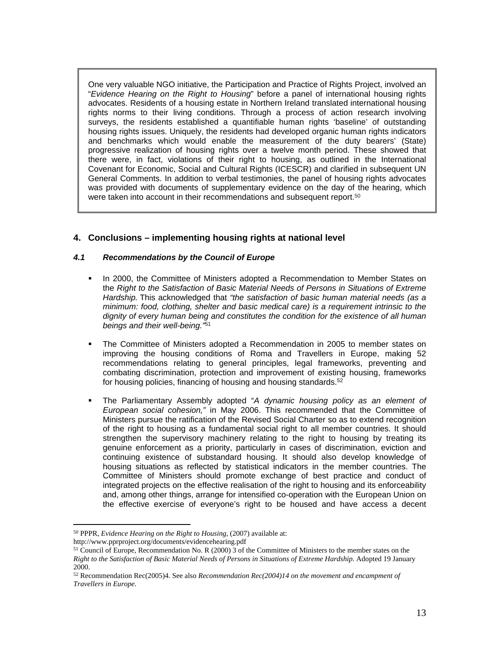One very valuable NGO initiative, the Participation and Practice of Rights Project, involved an "*Evidence Hearing on the Right to Housing*" before a panel of international housing rights advocates. Residents of a housing estate in Northern Ireland translated international housing rights norms to their living conditions. Through a process of action research involving surveys, the residents established a quantifiable human rights 'baseline' of outstanding housing rights issues. Uniquely, the residents had developed organic human rights indicators and benchmarks which would enable the measurement of the duty bearers' (State) progressive realization of housing rights over a twelve month period. These showed that there were, in fact, violations of their right to housing, as outlined in the International Covenant for Economic, Social and Cultural Rights (ICESCR) and clarified in subsequent UN General Comments. In addition to verbal testimonies, the panel of housing rights advocates was provided with documents of supplementary evidence on the day of the hearing, which were taken into account in their recommendations and subsequent report.<sup>50</sup>

# <span id="page-12-0"></span>**4. Conclusions – implementing housing rights at national level**

#### <span id="page-12-1"></span>*4.1 Recommendations by the Council of Europe*

- In 2000, the Committee of Ministers adopted a Recommendation to Member States on the *Right to the Satisfaction of Basic Material Needs of Persons in Situations of Extreme Hardship.* This acknowledged that *"the satisfaction of basic human material needs (as a minimum: food, clothing, shelter and basic medical care) is a requirement intrinsic to the dignity of every human being and constitutes the condition for the existence of all human beings and their well-being."*<sup>51</sup>
- The Committee of Ministers adopted a Recommendation in 2005 to member states on improving the housing conditions of Roma and Travellers in Europe, making 52 recommendations relating to general principles, legal frameworks, preventing and combating discrimination, protection and improvement of existing housing, frameworks for housing policies, financing of housing and housing standards.<sup>52</sup>
- The Parliamentary Assembly adopted "*A dynamic housing policy as an element of European social cohesion,"* in May 2006. This recommended that the Committee of Ministers pursue the ratification of the Revised Social Charter so as to extend recognition of the right to housing as a fundamental social right to all member countries. It should strengthen the supervisory machinery relating to the right to housing by treating its genuine enforcement as a priority, particularly in cases of discrimination, eviction and continuing existence of substandard housing. It should also develop knowledge of housing situations as reflected by statistical indicators in the member countries. The Committee of Ministers should promote exchange of best practice and conduct of integrated projects on the effective realisation of the right to housing and its enforceability and, among other things, arrange for intensified co-operation with the European Union on the effective exercise of everyone's right to be housed and have access a decent

<sup>50</sup> PPPR, *Evidence Hearing on the Right to Housing*, (2007) available at:

http://www.pprproject.org/documents/evidencehearing.pdf

<sup>51</sup> Council of Europe, Recommendation No. R (2000) 3 of the Committee of Ministers to the member states on the *Right to the Satisfaction of Basic Material Needs of Persons in Situations of Extreme Hardship.* Adopted 19 January 2000.

<sup>52</sup> Recommendation Rec(2005)4. See also *Recommendation Rec(2004)14 on the movement and encampment of Travellers in Europe.*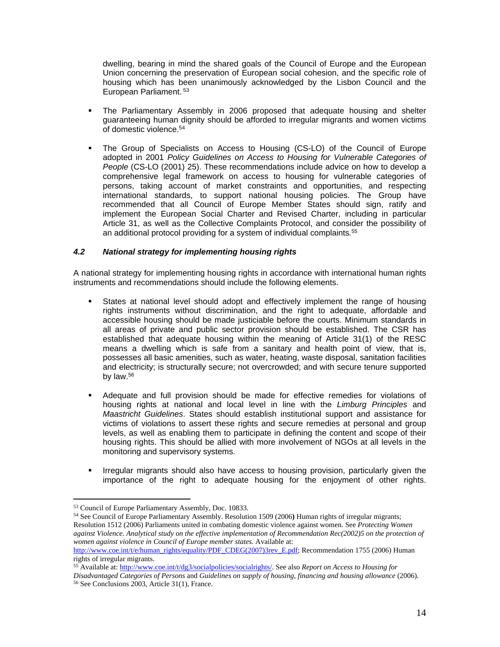dwelling, bearing in mind the shared goals of the Council of Europe and the European Union concerning the preservation of European social cohesion, and the specific role of housing which has been unanimously acknowledged by the Lisbon Council and the European Parliament.<sup>53</sup>

- The Parliamentary Assembly in 2006 proposed that adequate housing and shelter guaranteeing human dignity should be afforded to irregular migrants and women victims of domestic violence.<sup>54</sup>
- The Group of Specialists on Access to Housing (CS-LO) of the Council of Europe adopted in 2001 *Policy Guidelines on Access to Housing for Vulnerable Categories of People* (CS-LO (2001) 25). These recommendations include advice on how to develop a comprehensive legal framework on access to housing for vulnerable categories of persons, taking account of market constraints and opportunities, and respecting international standards, to support national housing policies. The Group have recommended that all Council of Europe Member States should sign, ratify and implement the European Social Charter and Revised Charter, including in particular Article 31, as well as the Collective Complaints Protocol, and consider the possibility of an additional protocol providing for a system of individual complaints*.* 55

#### <span id="page-13-0"></span>*4.2 National strategy for implementing housing rights*

A national strategy for implementing housing rights in accordance with international human rights instruments and recommendations should include the following elements.

- States at national level should adopt and effectively implement the range of housing rights instruments without discrimination, and the right to adequate, affordable and accessible housing should be made justiciable before the courts. Minimum standards in all areas of private and public sector provision should be established. The CSR has established that adequate housing within the meaning of Article 31(1) of the RESC means a dwelling which is safe from a sanitary and health point of view, that is, possesses all basic amenities, such as water, heating, waste disposal, sanitation facilities and electricity; is structurally secure; not overcrowded; and with secure tenure supported by law.<sup>56</sup>
- Adequate and full provision should be made for effective remedies for violations of housing rights at national and local level in line with the *Limburg Principles* and *Maastricht Guidelines*. States should establish institutional support and assistance for victims of violations to assert these rights and secure remedies at personal and group levels, as well as enabling them to participate in defining the content and scope of their housing rights. This should be allied with more involvement of NGOs at all levels in the monitoring and supervisory systems.
- **I** Irregular migrants should also have access to housing provision, particularly given the importance of the right to adequate housing for the enjoyment of other rights.

<sup>54</sup> See Council of Europe Parliamentary Assembly. Resolution 1509 (2006**)** Human rights of irregular migrants; Resolution 1512 (2006) Parliaments united in combating domestic violence against women. See *Protecting Women against Violence. Analytical study on the effective implementation of Recommendation Rec(2002)5 on the protection of women against violence in Council of Europe member states.* Available at:

<sup>53</sup> Council of Europe Parliamentary Assembly, Doc. 10833.

[http://www.coe.int/t/e/human\\_rights/equality/PDF\\_CDEG\(2007\)3rev\\_E.pdf;](http://www.coe.int/t/e/human_rights/equality/PDF_CDEG(2007)3rev_E.pdf) Recommendation 1755 (2006) Human rights of irregular migrants.

<sup>55</sup> Available at: [http://www.coe.int/t/dg3/socialpolicies/socialrights/](http://www.coe.int/t/dg3/socialpolicies/socialrights/2001CSLOfinal_en.asp#terms_reference). See also *Report on Access to Housing for Disadvantaged Categories of Persons* and *Guidelines on supply of housing, financing and housing allowance* (2006)*.* 56 See Conclusions 2003, Article 31(1), France.